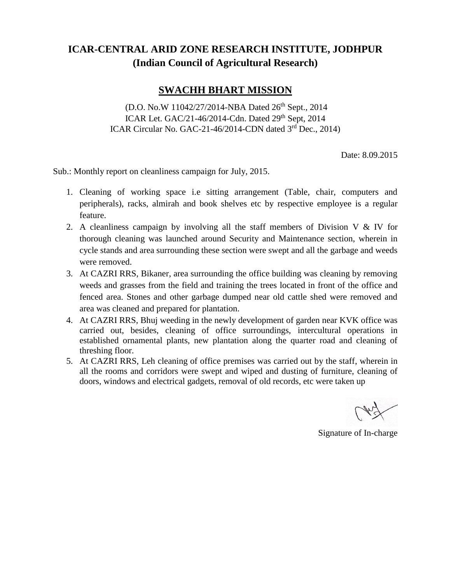## **ICAR-CENTRAL ARID ZONE RESEARCH INSTITUTE, JODHPUR (Indian Council of Agricultural Research)**

## **SWACHH BHART MISSION**

(D.O. No.W 11042/27/2014-NBA Dated 26<sup>th</sup> Sept., 2014 ICAR Let. GAC/21-46/2014-Cdn. Dated 29<sup>th</sup> Sept, 2014 ICAR Circular No. GAC-21-46/2014-CDN dated 3rd Dec., 2014)

Date: 8.09.2015

Sub.: Monthly report on cleanliness campaign for July, 2015.

- 1. Cleaning of working space i.e sitting arrangement (Table, chair, computers and peripherals), racks, almirah and book shelves etc by respective employee is a regular feature.
- 2. A cleanliness campaign by involving all the staff members of Division V  $\&$  IV for thorough cleaning was launched around Security and Maintenance section, wherein in cycle stands and area surrounding these section were swept and all the garbage and weeds were removed.
- 3. At CAZRI RRS, Bikaner, area surrounding the office building was cleaning by removing weeds and grasses from the field and training the trees located in front of the office and fenced area. Stones and other garbage dumped near old cattle shed were removed and area was cleaned and prepared for plantation.
- 4. At CAZRI RRS, Bhuj weeding in the newly development of garden near KVK office was carried out, besides, cleaning of office surroundings, intercultural operations in established ornamental plants, new plantation along the quarter road and cleaning of threshing floor.
- 5. At CAZRI RRS, Leh cleaning of office premises was carried out by the staff, wherein in all the rooms and corridors were swept and wiped and dusting of furniture, cleaning of doors, windows and electrical gadgets, removal of old records, etc were taken up

Signature of In-charge